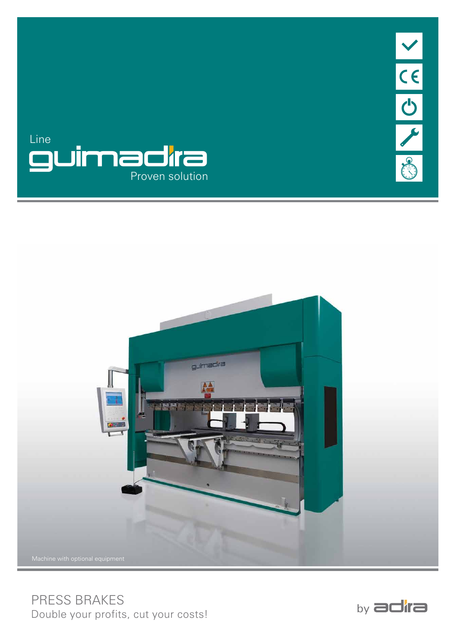





PRESS BRAKES Double your profits, cut your costs!